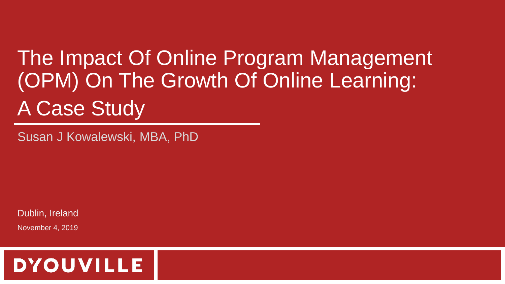# The Impact Of Online Program Management (OPM) On The Growth Of Online Learning: A Case Study

Susan J Kowalewski, MBA, PhD

Dublin, Ireland

November 4, 2019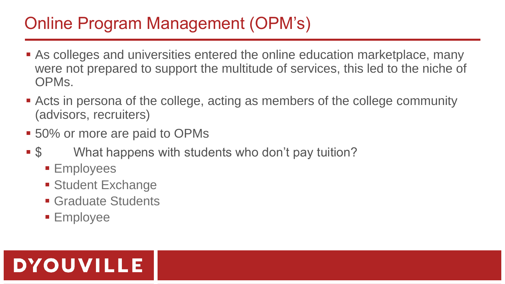### Online Program Management (OPM's)

- As colleges and universities entered the online education marketplace, many were not prepared to support the multitude of services, this led to the niche of OPMs.
- Acts in persona of the college, acting as members of the college community (advisors, recruiters)
- 50% or more are paid to OPMs
- \$ What happens with students who don't pay tuition?
	- **Employees**
	- **Student Exchange**
	- **Graduate Students**
	- **Employee**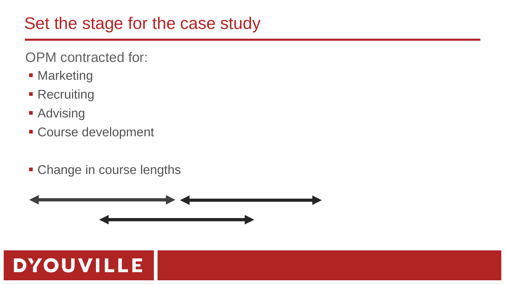#### Set the stage for the case study

OPM contracted for:

- **Marketing**
- **Recruiting**
- **Advising**
- **Course development**
- Change in course lengths

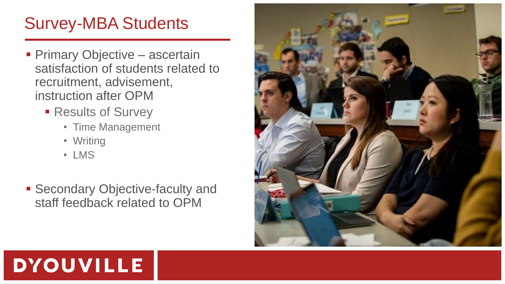### Survey-MBA Students

- **Primary Objective ascertain** satisfaction of students related to recruitment, advisement, instruction after OPM
	- **Results of Survey** 
		- Time Management
		- Writing
		- LMS
- **Secondary Objective-faculty and** staff feedback related to OPM

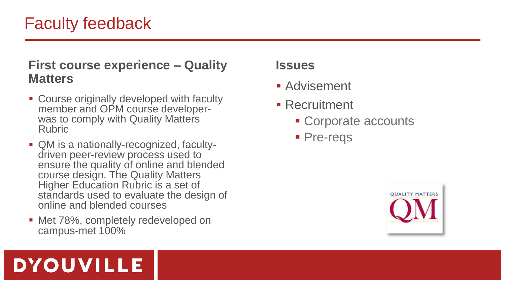### Faculty feedback

#### **First course experience – Quality Matters**

- Course originally developed with faculty member and OPM course developerwas to comply with Quality Matters Rubric
- QM is a nationally-recognized, facultydriven peer-review process used to ensure the quality of online and blended course design. The Quality Matters Higher Education Rubric is a set of standards used to evaluate the design of online and blended courses
- Met 78%, completely redeveloped on campus-met 100%

#### **Issues**

- Advisement
- Recruitment
	- Corporate accounts
	- **Pre-reqs**

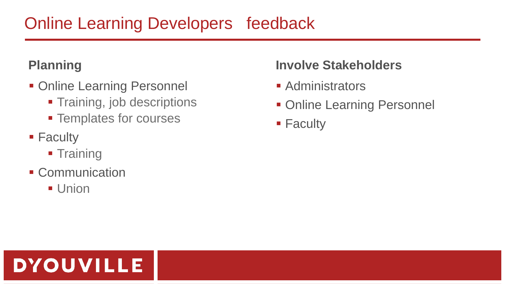### Online Learning Developers feedback

#### **Planning**

- **Online Learning Personnel** 
	- **Training, job descriptions**
	- **Templates for courses**
- **Faculty** 
	- **Training**
- **Communication**

**DYOUVILLE** 

**Union** 

#### **Involve Stakeholders**

- **Administrators**
- **Online Learning Personnel**
- **Faculty**